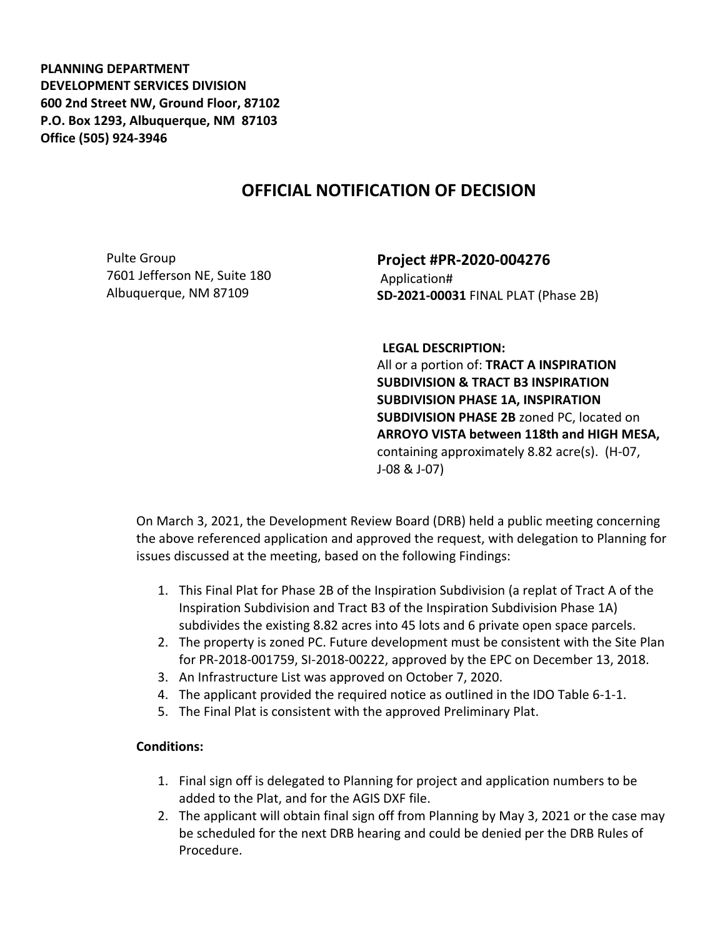**PLANNING DEPARTMENT DEVELOPMENT SERVICES DIVISION 600 2nd Street NW, Ground Floor, 87102 P.O. Box 1293, Albuquerque, NM 87103 Office (505) 924-3946** 

## **OFFICIAL NOTIFICATION OF DECISION**

Pulte Group 7601 Jefferson NE, Suite 180 Albuquerque, NM 87109

**Project #PR-2020-004276** Application# **SD-2021-00031** FINAL PLAT (Phase 2B)

**LEGAL DESCRIPTION:**

All or a portion of: **TRACT A INSPIRATION SUBDIVISION & TRACT B3 INSPIRATION SUBDIVISION PHASE 1A, INSPIRATION SUBDIVISION PHASE 2B** zoned PC, located on **ARROYO VISTA between 118th and HIGH MESA,**  containing approximately 8.82 acre(s). (H-07, J-08 & J-07)

On March 3, 2021, the Development Review Board (DRB) held a public meeting concerning the above referenced application and approved the request, with delegation to Planning for issues discussed at the meeting, based on the following Findings:

- 1. This Final Plat for Phase 2B of the Inspiration Subdivision (a replat of Tract A of the Inspiration Subdivision and Tract B3 of the Inspiration Subdivision Phase 1A) subdivides the existing 8.82 acres into 45 lots and 6 private open space parcels.
- 2. The property is zoned PC. Future development must be consistent with the Site Plan for PR-2018-001759, SI-2018-00222, approved by the EPC on December 13, 2018.
- 3. An Infrastructure List was approved on October 7, 2020.
- 4. The applicant provided the required notice as outlined in the IDO Table 6-1-1.
- 5. The Final Plat is consistent with the approved Preliminary Plat.

## **Conditions:**

- 1. Final sign off is delegated to Planning for project and application numbers to be added to the Plat, and for the AGIS DXF file.
- 2. The applicant will obtain final sign off from Planning by May 3, 2021 or the case may be scheduled for the next DRB hearing and could be denied per the DRB Rules of Procedure.